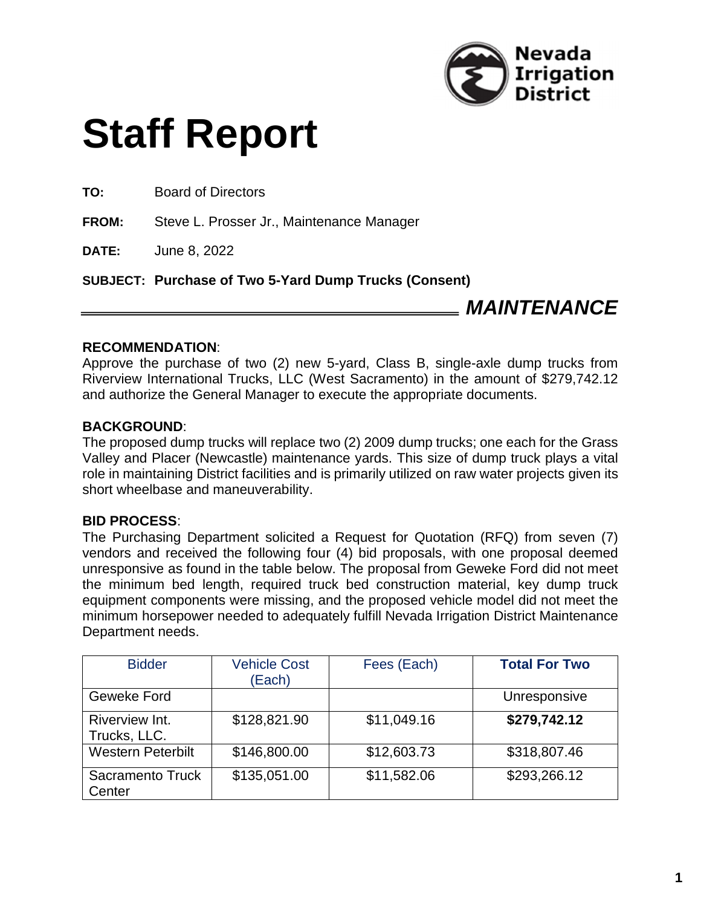

# **Staff Report**

**TO:** Board of Directors

**FROM:** Steve L. Prosser Jr., Maintenance Manager

**DATE:** June 8, 2022

**SUBJECT: Purchase of Two 5-Yard Dump Trucks (Consent)**

*MAINTENANCE*

## **RECOMMENDATION**:

Approve the purchase of two (2) new 5-yard, Class B, single-axle dump trucks from Riverview International Trucks, LLC (West Sacramento) in the amount of \$279,742.12 and authorize the General Manager to execute the appropriate documents.

## **BACKGROUND**:

The proposed dump trucks will replace two (2) 2009 dump trucks; one each for the Grass Valley and Placer (Newcastle) maintenance yards. This size of dump truck plays a vital role in maintaining District facilities and is primarily utilized on raw water projects given its short wheelbase and maneuverability.

#### **BID PROCESS**:

The Purchasing Department solicited a Request for Quotation (RFQ) from seven (7) vendors and received the following four (4) bid proposals, with one proposal deemed unresponsive as found in the table below. The proposal from Geweke Ford did not meet the minimum bed length, required truck bed construction material, key dump truck equipment components were missing, and the proposed vehicle model did not meet the minimum horsepower needed to adequately fulfill Nevada Irrigation District Maintenance Department needs.

| <b>Bidder</b>                     | <b>Vehicle Cost</b><br>(Each) | Fees (Each) | <b>Total For Two</b> |
|-----------------------------------|-------------------------------|-------------|----------------------|
| Geweke Ford                       |                               |             | Unresponsive         |
| Riverview Int.<br>Trucks, LLC.    | \$128,821.90                  | \$11,049.16 | \$279,742.12         |
| <b>Western Peterbilt</b>          | \$146,800.00                  | \$12,603.73 | \$318,807.46         |
| <b>Sacramento Truck</b><br>Center | \$135,051.00                  | \$11,582.06 | \$293,266.12         |